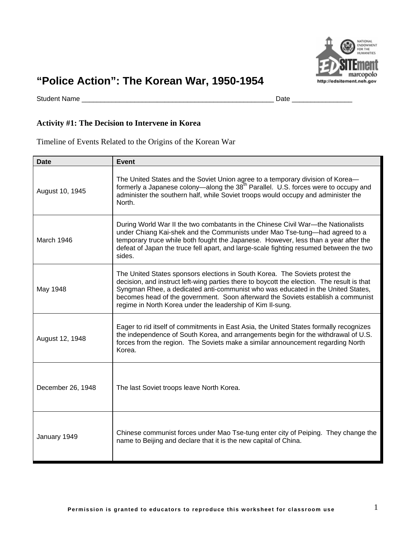

Student Name \_\_\_\_\_\_\_\_\_\_\_\_\_\_\_\_\_\_\_\_\_\_\_\_\_\_\_\_\_\_\_\_\_\_\_\_\_\_\_\_\_\_\_\_\_\_\_\_\_\_\_ Date \_\_\_\_\_\_\_\_\_\_\_\_\_\_\_\_

### **Activity #1: The Decision to Intervene in Korea**

Timeline of Events Related to the Origins of the Korean War

| <b>Date</b>       | <b>Event</b>                                                                                                                                                                                                                                                                                                                                                                                                    |  |
|-------------------|-----------------------------------------------------------------------------------------------------------------------------------------------------------------------------------------------------------------------------------------------------------------------------------------------------------------------------------------------------------------------------------------------------------------|--|
| August 10, 1945   | The United States and the Soviet Union agree to a temporary division of Korea-<br>formerly a Japanese colony-along the 38 <sup>th</sup> Parallel. U.S. forces were to occupy and<br>administer the southern half, while Soviet troops would occupy and administer the<br>North.                                                                                                                                 |  |
| March 1946        | During World War II the two combatants in the Chinese Civil War—the Nationalists<br>under Chiang Kai-shek and the Communists under Mao Tse-tung-had agreed to a<br>temporary truce while both fought the Japanese. However, less than a year after the<br>defeat of Japan the truce fell apart, and large-scale fighting resumed between the two<br>sides.                                                      |  |
| May 1948          | The United States sponsors elections in South Korea. The Soviets protest the<br>decision, and instruct left-wing parties there to boycott the election. The result is that<br>Syngman Rhee, a dedicated anti-communist who was educated in the United States,<br>becomes head of the government. Soon afterward the Soviets establish a communist<br>regime in North Korea under the leadership of Kim Il-sung. |  |
| August 12, 1948   | Eager to rid itself of commitments in East Asia, the United States formally recognizes<br>the independence of South Korea, and arrangements begin for the withdrawal of U.S.<br>forces from the region. The Soviets make a similar announcement regarding North<br>Korea.                                                                                                                                       |  |
| December 26, 1948 | The last Soviet troops leave North Korea.                                                                                                                                                                                                                                                                                                                                                                       |  |
| January 1949      | Chinese communist forces under Mao Tse-tung enter city of Peiping. They change the<br>name to Beijing and declare that it is the new capital of China.                                                                                                                                                                                                                                                          |  |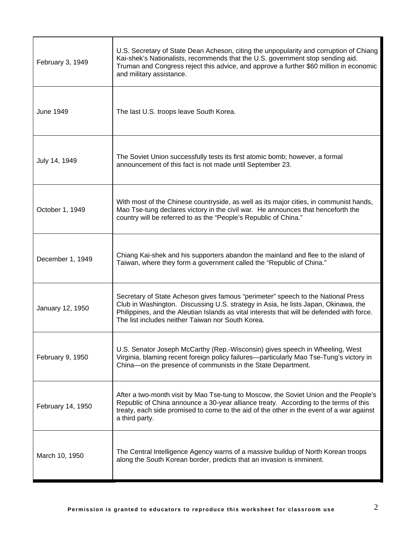| February 3, 1949  | U.S. Secretary of State Dean Acheson, citing the unpopularity and corruption of Chiang<br>Kai-shek's Nationalists, recommends that the U.S. government stop sending aid.<br>Truman and Congress reject this advice, and approve a further \$60 million in economic<br>and military assistance.                            |
|-------------------|---------------------------------------------------------------------------------------------------------------------------------------------------------------------------------------------------------------------------------------------------------------------------------------------------------------------------|
| June 1949         | The last U.S. troops leave South Korea.                                                                                                                                                                                                                                                                                   |
| July 14, 1949     | The Soviet Union successfully tests its first atomic bomb; however, a formal<br>announcement of this fact is not made until September 23.                                                                                                                                                                                 |
| October 1, 1949   | With most of the Chinese countryside, as well as its major cities, in communist hands,<br>Mao Tse-tung declares victory in the civil war. He announces that henceforth the<br>country will be referred to as the "People's Republic of China."                                                                            |
| December 1, 1949  | Chiang Kai-shek and his supporters abandon the mainland and flee to the island of<br>Taiwan, where they form a government called the "Republic of China."                                                                                                                                                                 |
| January 12, 1950  | Secretary of State Acheson gives famous "perimeter" speech to the National Press<br>Club in Washington. Discussing U.S. strategy in Asia, he lists Japan, Okinawa, the<br>Philippines, and the Aleutian Islands as vital interests that will be defended with force.<br>The list includes neither Taiwan nor South Korea. |
| February 9, 1950  | U.S. Senator Joseph McCarthy (Rep.-Wisconsin) gives speech in Wheeling, West<br>Virginia, blaming recent foreign policy failures—particularly Mao Tse-Tung's victory in<br>China-on the presence of communists in the State Department.                                                                                   |
| February 14, 1950 | After a two-month visit by Mao Tse-tung to Moscow, the Soviet Union and the People's<br>Republic of China announce a 30-year alliance treaty. According to the terms of this<br>treaty, each side promised to come to the aid of the other in the event of a war against<br>a third party.                                |
| March 10, 1950    | The Central Intelligence Agency warns of a massive buildup of North Korean troops<br>along the South Korean border, predicts that an invasion is imminent.                                                                                                                                                                |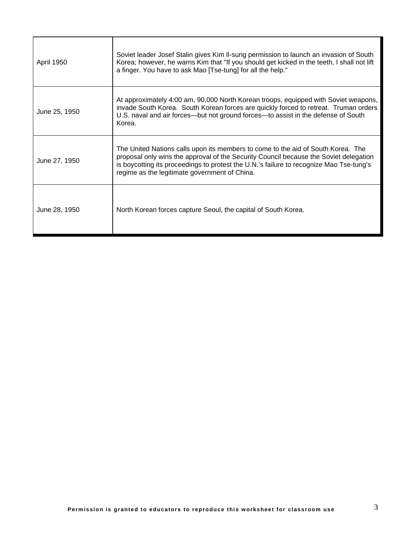| <b>April 1950</b> | Soviet leader Josef Stalin gives Kim Il-sung permission to launch an invasion of South<br>Korea; however, he warns Kim that "If you should get kicked in the teeth, I shall not lift<br>a finger. You have to ask Mao [Tse-tung] for all the help."                                                                   |
|-------------------|-----------------------------------------------------------------------------------------------------------------------------------------------------------------------------------------------------------------------------------------------------------------------------------------------------------------------|
| June 25, 1950     | At approximately 4:00 am, 90,000 North Korean troops, equipped with Soviet weapons,<br>invade South Korea. South Korean forces are quickly forced to retreat. Truman orders<br>U.S. naval and air forces—but not ground forces—to assist in the defense of South<br>Korea.                                            |
| June 27, 1950     | The United Nations calls upon its members to come to the aid of South Korea. The<br>proposal only wins the approval of the Security Council because the Soviet delegation<br>is boycotting its proceedings to protest the U.N.'s failure to recognize Mao Tse-tung's<br>regime as the legitimate government of China. |
| June 28, 1950     | North Korean forces capture Seoul, the capital of South Korea.                                                                                                                                                                                                                                                        |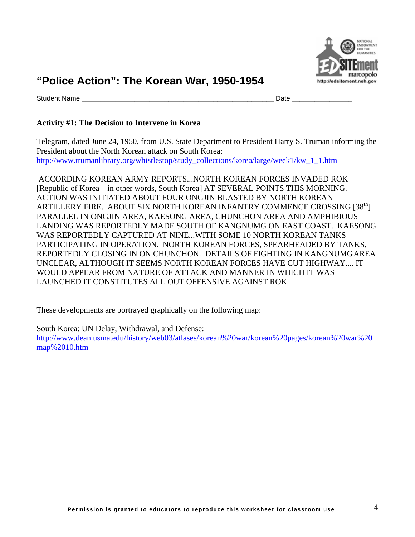

Student Name \_\_\_\_\_\_\_\_\_\_\_\_\_\_\_\_\_\_\_\_\_\_\_\_\_\_\_\_\_\_\_\_\_\_\_\_\_\_\_\_\_\_\_\_\_\_\_\_\_\_\_ Date \_\_\_\_\_\_\_\_\_\_\_\_\_\_\_\_

### **Activity #1: The Decision to Intervene in Korea**

Telegram, dated June 24, 1950, from U.S. State Department to President Harry S. Truman informing the President about the North Korean attack on South Korea: [http://www.trumanlibrary.org/whistlestop/study\\_collections/korea/large/week1/kw\\_1\\_1.htm](http://www.trumanlibrary.org/whistlestop/study_collections/korea/large/week1/kw_1_1.htm)

 ACCORDING KOREAN ARMY REPORTS...NORTH KOREAN FORCES INVADED ROK [Republic of Korea—in other words, South Korea] AT SEVERAL POINTS THIS MORNING. ACTION WAS INITIATED ABOUT FOUR ONGJIN BLASTED BY NORTH KOREAN ARTILLERY FIRE. ABOUT SIX NORTH KOREAN INFANTRY COMMENCE CROSSING [38<sup>th</sup>] PARALLEL IN ONGJIN AREA, KAESONG AREA, CHUNCHON AREA AND AMPHIBIOUS LANDING WAS REPORTEDLY MADE SOUTH OF KANGNUMG ON EAST COAST. KAESONG WAS REPORTEDLY CAPTURED AT NINE...WITH SOME 10 NORTH KOREAN TANKS PARTICIPATING IN OPERATION. NORTH KOREAN FORCES, SPEARHEADED BY TANKS, REPORTEDLY CLOSING IN ON CHUNCHON. DETAILS OF FIGHTING IN KANGNUMG AREA UNCLEAR, ALTHOUGH IT SEEMS NORTH KOREAN FORCES HAVE CUT HIGHWAY.... IT WOULD APPEAR FROM NATURE OF ATTACK AND MANNER IN WHICH IT WAS LAUNCHED IT CONSTITUTES ALL OUT OFFENSIVE AGAINST ROK.

These developments are portrayed graphically on the following map:

South Korea: UN Delay, Withdrawal, and Defense:

[http://www.dean.usma.edu/history/web03/atlases/korean%20war/korean%20pages/korean%20war%20](http://www.dean.usma.edu/history/web03/atlases/korean%20war/korean%20pages/korean%20war%20map%2010.htm) [map%2010.htm](http://www.dean.usma.edu/history/web03/atlases/korean%20war/korean%20pages/korean%20war%20map%2010.htm)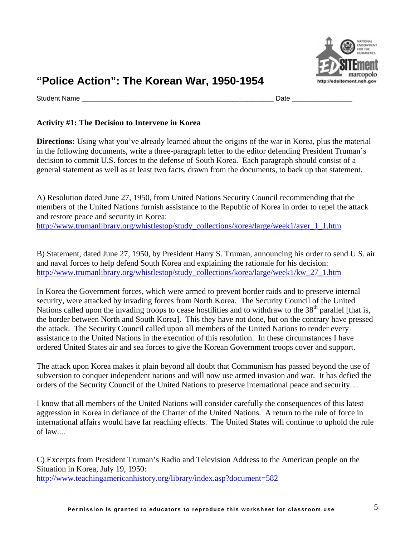

Student Name \_\_\_\_\_\_\_\_\_\_\_\_\_\_\_\_\_\_\_\_\_\_\_\_\_\_\_\_\_\_\_\_\_\_\_\_\_\_\_\_\_\_\_\_\_\_\_\_\_\_\_ Date \_\_\_\_\_\_\_\_\_\_\_\_\_\_\_\_

#### **Activity #1: The Decision to Intervene in Korea**

**Directions:** Using what you've already learned about the origins of the war in Korea, plus the material in the following documents, write a three-paragraph letter to the editor defending President Truman's decision to commit U.S. forces to the defense of South Korea. Each paragraph should consist of a general statement as well as at least two facts, drawn from the documents, to back up that statement.

A) Resolution dated June 27, 1950, from United Nations Security Council recommending that the members of the United Nations furnish assistance to the Republic of Korea in order to repel the attack and restore peace and security in Korea: [http://www.trumanlibrary.org/whistlestop/study\\_collections/korea/large/week1/ayer\\_1\\_1.htm](http://www.trumanlibrary.org/whistlestop/study_collections/korea/large/week1/ayer_1_1.htm)

B) Statement, dated June 27, 1950, by President Harry S. Truman, announcing his order to send U.S. air and naval forces to help defend South Korea and explaining the rationale for his decision: [http://www.trumanlibrary.org/whistlestop/study\\_collections/korea/large/week1/kw\\_27\\_1.htm](http://www.trumanlibrary.org/whistlestop/study_collections/korea/large/week1/kw_27_1.htm)

In Korea the Government forces, which were armed to prevent border raids and to preserve internal security, were attacked by invading forces from North Korea. The Security Council of the United Nations called upon the invading troops to cease hostilities and to withdraw to the  $38<sup>th</sup>$  parallel [that is, the border between North and South Korea]. This they have not done, but on the contrary have pressed the attack. The Security Council called upon all members of the United Nations to render every assistance to the United Nations in the execution of this resolution. In these circumstances I have ordered United States air and sea forces to give the Korean Government troops cover and support.

The attack upon Korea makes it plain beyond all doubt that Communism has passed beyond the use of subversion to conquer independent nations and will now use armed invasion and war. It has defied the orders of the Security Council of the United Nations to preserve international peace and security....

I know that all members of the United Nations will consider carefully the consequences of this latest aggression in Korea in defiance of the Charter of the United Nations. A return to the rule of force in international affairs would have far reaching effects. The United States will continue to uphold the rule of  $law...$ 

C) Excerpts from President Truman's Radio and Television Address to the American people on the Situation in Korea, July 19, 1950: <http://www.teachingamericanhistory.org/library/index.asp?document=582>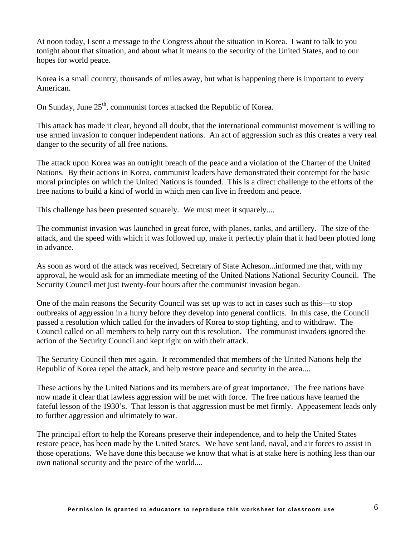At noon today, I sent a message to the Congress about the situation in Korea. I want to talk to you tonight about that situation, and about what it means to the security of the United States, and to our hopes for world peace.

Korea is a small country, thousands of miles away, but what is happening there is important to every American.

On Sunday, June  $25<sup>th</sup>$ , communist forces attacked the Republic of Korea.

This attack has made it clear, beyond all doubt, that the international communist movement is willing to use armed invasion to conquer independent nations. An act of aggression such as this creates a very real danger to the security of all free nations.

The attack upon Korea was an outright breach of the peace and a violation of the Charter of the United Nations. By their actions in Korea, communist leaders have demonstrated their contempt for the basic moral principles on which the United Nations is founded. This is a direct challenge to the efforts of the free nations to build a kind of world in which men can live in freedom and peace.

This challenge has been presented squarely. We must meet it squarely....

The communist invasion was launched in great force, with planes, tanks, and artillery. The size of the attack, and the speed with which it was followed up, make it perfectly plain that it had been plotted long in advance.

As soon as word of the attack was received, Secretary of State Acheson...informed me that, with my approval, he would ask for an immediate meeting of the United Nations National Security Council. The Security Council met just twenty-four hours after the communist invasion began.

One of the main reasons the Security Council was set up was to act in cases such as this—to stop outbreaks of aggression in a hurry before they develop into general conflicts. In this case, the Council passed a resolution which called for the invaders of Korea to stop fighting, and to withdraw. The Council called on all members to help carry out this resolution. The communist invaders ignored the action of the Security Council and kept right on with their attack.

The Security Council then met again. It recommended that members of the United Nations help the Republic of Korea repel the attack, and help restore peace and security in the area....

These actions by the United Nations and its members are of great importance. The free nations have now made it clear that lawless aggression will be met with force. The free nations have learned the fateful lesson of the 1930's. That lesson is that aggression must be met firmly. Appeasement leads only to further aggression and ultimately to war.

The principal effort to help the Koreans preserve their independence, and to help the United States restore peace, has been made by the United States. We have sent land, naval, and air forces to assist in those operations. We have done this because we know that what is at stake here is nothing less than our own national security and the peace of the world....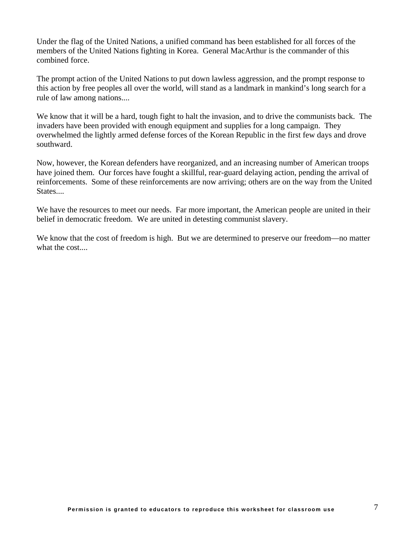Under the flag of the United Nations, a unified command has been established for all forces of the members of the United Nations fighting in Korea. General MacArthur is the commander of this combined force.

The prompt action of the United Nations to put down lawless aggression, and the prompt response to this action by free peoples all over the world, will stand as a landmark in mankind's long search for a rule of law among nations....

We know that it will be a hard, tough fight to halt the invasion, and to drive the communists back. The invaders have been provided with enough equipment and supplies for a long campaign. They overwhelmed the lightly armed defense forces of the Korean Republic in the first few days and drove southward.

Now, however, the Korean defenders have reorganized, and an increasing number of American troops have joined them. Our forces have fought a skillful, rear-guard delaying action, pending the arrival of reinforcements. Some of these reinforcements are now arriving; others are on the way from the United States....

We have the resources to meet our needs. Far more important, the American people are united in their belief in democratic freedom. We are united in detesting communist slavery.

We know that the cost of freedom is high. But we are determined to preserve our freedom—no matter what the cost....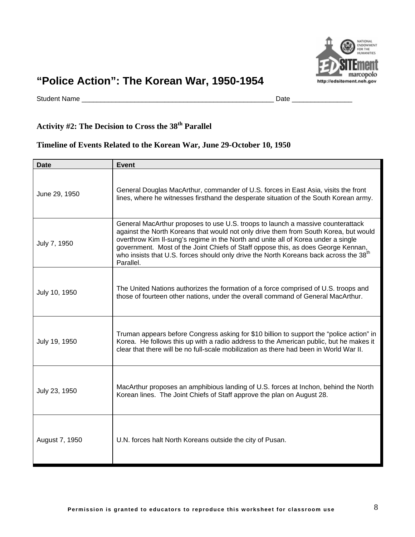

Student Name \_\_\_\_\_\_\_\_\_\_\_\_\_\_\_\_\_\_\_\_\_\_\_\_\_\_\_\_\_\_\_\_\_\_\_\_\_\_\_\_\_\_\_\_\_\_\_\_\_\_\_ Date \_\_\_\_\_\_\_\_\_\_\_\_\_\_\_\_

### **Activity #2: The Decision to Cross the 38th Parallel**

### **Timeline of Events Related to the Korean War, June 29-October 10, 1950**

| <b>Date</b>    | <b>Event</b>                                                                                                                                                                                                                                                                                                                                                                                                                                                        |  |
|----------------|---------------------------------------------------------------------------------------------------------------------------------------------------------------------------------------------------------------------------------------------------------------------------------------------------------------------------------------------------------------------------------------------------------------------------------------------------------------------|--|
| June 29, 1950  | General Douglas MacArthur, commander of U.S. forces in East Asia, visits the front<br>lines, where he witnesses firsthand the desperate situation of the South Korean army.                                                                                                                                                                                                                                                                                         |  |
| July 7, 1950   | General MacArthur proposes to use U.S. troops to launch a massive counterattack<br>against the North Koreans that would not only drive them from South Korea, but would<br>overthrow Kim Il-sung's regime in the North and unite all of Korea under a single<br>government. Most of the Joint Chiefs of Staff oppose this, as does George Kennan,<br>who insists that U.S. forces should only drive the North Koreans back across the 38 <sup>th</sup><br>Parallel. |  |
| July 10, 1950  | The United Nations authorizes the formation of a force comprised of U.S. troops and<br>those of fourteen other nations, under the overall command of General MacArthur.                                                                                                                                                                                                                                                                                             |  |
| July 19, 1950  | Truman appears before Congress asking for \$10 billion to support the "police action" in<br>Korea. He follows this up with a radio address to the American public, but he makes it<br>clear that there will be no full-scale mobilization as there had been in World War II.                                                                                                                                                                                        |  |
| July 23, 1950  | MacArthur proposes an amphibious landing of U.S. forces at Inchon, behind the North<br>Korean lines. The Joint Chiefs of Staff approve the plan on August 28.                                                                                                                                                                                                                                                                                                       |  |
| August 7, 1950 | U.N. forces halt North Koreans outside the city of Pusan.                                                                                                                                                                                                                                                                                                                                                                                                           |  |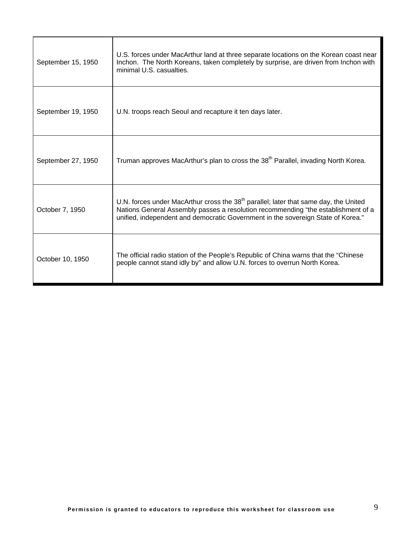| September 15, 1950 | U.S. forces under MacArthur land at three separate locations on the Korean coast near<br>Inchon. The North Koreans, taken completely by surprise, are driven from Inchon with<br>minimal U.S. casualties.                                                                 |  |
|--------------------|---------------------------------------------------------------------------------------------------------------------------------------------------------------------------------------------------------------------------------------------------------------------------|--|
| September 19, 1950 | U.N. troops reach Seoul and recapture it ten days later.                                                                                                                                                                                                                  |  |
| September 27, 1950 | Truman approves MacArthur's plan to cross the 38 <sup>th</sup> Parallel, invading North Korea.                                                                                                                                                                            |  |
| October 7, 1950    | U.N. forces under MacArthur cross the 38 <sup>th</sup> parallel; later that same day, the United<br>Nations General Assembly passes a resolution recommending "the establishment of a<br>unified, independent and democratic Government in the sovereign State of Korea." |  |
| October 10, 1950   | The official radio station of the People's Republic of China warns that the "Chinese"<br>people cannot stand idly by" and allow U.N. forces to overrun North Korea.                                                                                                       |  |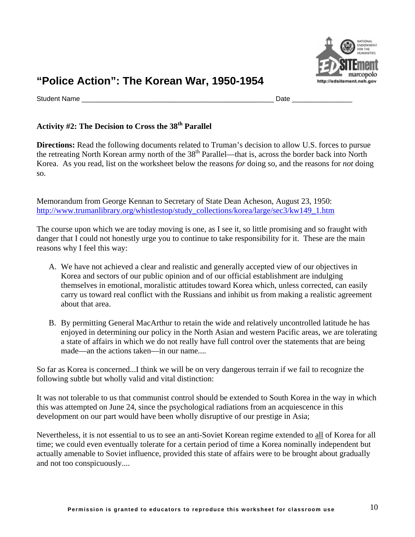

Student Name \_\_\_\_\_\_\_\_\_\_\_\_\_\_\_\_\_\_\_\_\_\_\_\_\_\_\_\_\_\_\_\_\_\_\_\_\_\_\_\_\_\_\_\_\_\_\_\_\_\_\_ Date \_\_\_\_\_\_\_\_\_\_\_\_\_\_\_\_

### **Activity #2: The Decision to Cross the 38th Parallel**

**Directions:** Read the following documents related to Truman's decision to allow U.S. forces to pursue the retreating North Korean army north of the 38<sup>th</sup> Parallel—that is, across the border back into North Korea. As you read, list on the worksheet below the reasons *for* doing so, and the reasons for *not* doing so.

Memorandum from George Kennan to Secretary of State Dean Acheson, August 23, 1950: [http://www.trumanlibrary.org/whistlestop/study\\_collections/korea/large/sec3/kw149\\_1.htm](http://www.trumanlibrary.org/whistlestop/study_collections/korea/large/sec3/kw149_1.htm) 

The course upon which we are today moving is one, as I see it, so little promising and so fraught with danger that I could not honestly urge you to continue to take responsibility for it. These are the main reasons why I feel this way:

- A. We have not achieved a clear and realistic and generally accepted view of our objectives in Korea and sectors of our public opinion and of our official establishment are indulging themselves in emotional, moralistic attitudes toward Korea which, unless corrected, can easily carry us toward real conflict with the Russians and inhibit us from making a realistic agreement about that area.
- B. By permitting General MacArthur to retain the wide and relatively uncontrolled latitude he has enjoyed in determining our policy in the North Asian and western Pacific areas, we are tolerating a state of affairs in which we do not really have full control over the statements that are being made—an the actions taken—in our name....

So far as Korea is concerned...I think we will be on very dangerous terrain if we fail to recognize the following subtle but wholly valid and vital distinction:

It was not tolerable to us that communist control should be extended to South Korea in the way in which this was attempted on June 24, since the psychological radiations from an acquiescence in this development on our part would have been wholly disruptive of our prestige in Asia;

Nevertheless, it is not essential to us to see an anti-Soviet Korean regime extended to all of Korea for all time; we could even eventually tolerate for a certain period of time a Korea nominally independent but actually amenable to Soviet influence, provided this state of affairs were to be brought about gradually and not too conspicuously....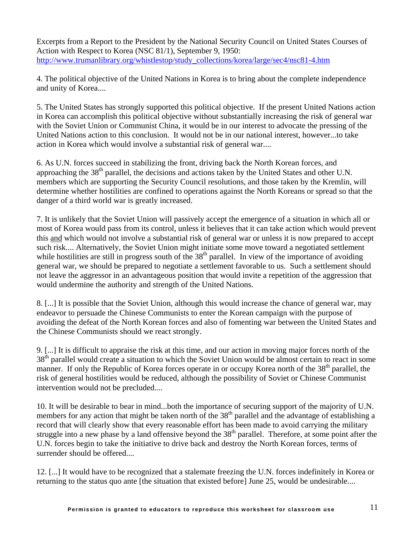Excerpts from a Report to the President by the National Security Council on United States Courses of Action with Respect to Korea (NSC 81/1), September 9, 1950: [http://www.trumanlibrary.org/whistlestop/study\\_collections/korea/large/sec4/nsc81-4.htm](http://www.trumanlibrary.org/whistlestop/study_collections/korea/large/sec4/nsc81-4.htm)

4. The political objective of the United Nations in Korea is to bring about the complete independence and unity of Korea....

5. The United States has strongly supported this political objective. If the present United Nations action in Korea can accomplish this political objective without substantially increasing the risk of general war with the Soviet Union or Communist China, it would be in our interest to advocate the pressing of the United Nations action to this conclusion. It would not be in our national interest, however...to take action in Korea which would involve a substantial risk of general war....

6. As U.N. forces succeed in stabilizing the front, driving back the North Korean forces, and approaching the 38<sup>th</sup> parallel, the decisions and actions taken by the United States and other U.N. members which are supporting the Security Council resolutions, and those taken by the Kremlin, will determine whether hostilities are confined to operations against the North Koreans or spread so that the danger of a third world war is greatly increased.

7. It is unlikely that the Soviet Union will passively accept the emergence of a situation in which all or most of Korea would pass from its control, unless it believes that it can take action which would prevent this and which would not involve a substantial risk of general war or unless it is now prepared to accept such risk.... Alternatively, the Soviet Union might initiate some move toward a negotiated settlement while hostilities are still in progress south of the  $38<sup>th</sup>$  parallel. In view of the importance of avoiding general war, we should be prepared to negotiate a settlement favorable to us. Such a settlement should not leave the aggressor in an advantageous position that would invite a repetition of the aggression that would undermine the authority and strength of the United Nations.

8. [...] It is possible that the Soviet Union, although this would increase the chance of general war, may endeavor to persuade the Chinese Communists to enter the Korean campaign with the purpose of avoiding the defeat of the North Korean forces and also of fomenting war between the United States and the Chinese Communists should we react strongly.

9. [...] It is difficult to appraise the risk at this time, and our action in moving major forces north of the 38<sup>th</sup> parallel would create a situation to which the Soviet Union would be almost certain to react in some manner. If only the Republic of Korea forces operate in or occupy Korea north of the 38<sup>th</sup> parallel, the risk of general hostilities would be reduced, although the possibility of Soviet or Chinese Communist intervention would not be precluded....

10. It will be desirable to bear in mind...both the importance of securing support of the majority of U.N. members for any action that might be taken north of the  $38<sup>th</sup>$  parallel and the advantage of establishing a record that will clearly show that every reasonable effort has been made to avoid carrying the military struggle into a new phase by a land offensive beyond the  $38<sup>th</sup>$  parallel. Therefore, at some point after the U.N. forces begin to take the initiative to drive back and destroy the North Korean forces, terms of surrender should be offered....

12. [...] It would have to be recognized that a stalemate freezing the U.N. forces indefinitely in Korea or returning to the status quo ante [the situation that existed before] June 25, would be undesirable....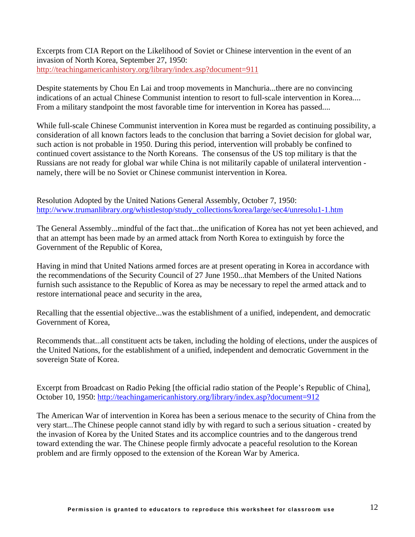Excerpts from CIA Report on the Likelihood of Soviet or Chinese intervention in the event of an invasion of North Korea, September 27, 1950: <http://teachingamericanhistory.org/library/index.asp?document=911>

Despite statements by Chou En Lai and troop movements in Manchuria...there are no convincing indications of an actual Chinese Communist intention to resort to full-scale intervention in Korea.... From a military standpoint the most favorable time for intervention in Korea has passed....

While full-scale Chinese Communist intervention in Korea must be regarded as continuing possibility, a consideration of all known factors leads to the conclusion that barring a Soviet decision for global war, such action is not probable in 1950. During this period, intervention will probably be confined to continued covert assistance to the North Koreans. The consensus of the US top military is that the Russians are not ready for global war while China is not militarily capable of unilateral intervention namely, there will be no Soviet or Chinese communist intervention in Korea.

Resolution Adopted by the United Nations General Assembly, October 7, 1950: [http://www.trumanlibrary.org/whistlestop/study\\_collections/korea/large/sec4/unresolu1-1.htm](http://www.trumanlibrary.org/whistlestop/study_collections/korea/large/sec4/unresolu1-1.htm)

The General Assembly...mindful of the fact that...the unification of Korea has not yet been achieved, and that an attempt has been made by an armed attack from North Korea to extinguish by force the Government of the Republic of Korea,

Having in mind that United Nations armed forces are at present operating in Korea in accordance with the recommendations of the Security Council of 27 June 1950...that Members of the United Nations furnish such assistance to the Republic of Korea as may be necessary to repel the armed attack and to restore international peace and security in the area,

Recalling that the essential objective...was the establishment of a unified, independent, and democratic Government of Korea,

Recommends that...all constituent acts be taken, including the holding of elections, under the auspices of the United Nations, for the establishment of a unified, independent and democratic Government in the sovereign State of Korea.

Excerpt from Broadcast on Radio Peking [the official radio station of the People's Republic of China], October 10, 1950:<http://teachingamericanhistory.org/library/index.asp?document=912>

The American War of intervention in Korea has been a serious menace to the security of China from the very start...The Chinese people cannot stand idly by with regard to such a serious situation - created by the invasion of Korea by the United States and its accomplice countries and to the dangerous trend toward extending the war. The Chinese people firmly advocate a peaceful resolution to the Korean problem and are firmly opposed to the extension of the Korean War by America.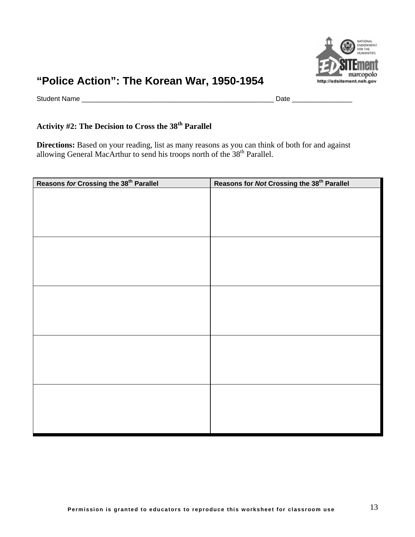

Student Name \_\_\_\_\_\_\_\_\_\_\_\_\_\_\_\_\_\_\_\_\_\_\_\_\_\_\_\_\_\_\_\_\_\_\_\_\_\_\_\_\_\_\_\_\_\_\_\_\_\_\_ Date \_\_\_\_\_\_\_\_\_\_\_\_\_\_\_\_

### **Activity #2: The Decision to Cross the 38th Parallel**

**Directions:** Based on your reading, list as many reasons as you can think of both for and against allowing General MacArthur to send his troops north of the 38<sup>th</sup> Parallel.

| Reasons for Crossing the 38 <sup>th</sup> Parallel | Reasons for Not Crossing the 38 <sup>th</sup> Parallel |
|----------------------------------------------------|--------------------------------------------------------|
|                                                    |                                                        |
|                                                    |                                                        |
|                                                    |                                                        |
|                                                    |                                                        |
|                                                    |                                                        |
|                                                    |                                                        |
|                                                    |                                                        |
|                                                    |                                                        |
|                                                    |                                                        |
|                                                    |                                                        |
|                                                    |                                                        |
|                                                    |                                                        |
|                                                    |                                                        |
|                                                    |                                                        |
|                                                    |                                                        |
|                                                    |                                                        |
|                                                    |                                                        |
|                                                    |                                                        |
|                                                    |                                                        |
|                                                    |                                                        |
|                                                    |                                                        |
|                                                    |                                                        |
|                                                    |                                                        |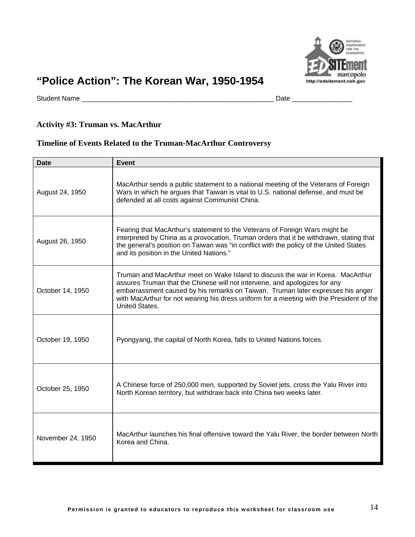

Student Name \_\_\_\_\_\_\_\_\_\_\_\_\_\_\_\_\_\_\_\_\_\_\_\_\_\_\_\_\_\_\_\_\_\_\_\_\_\_\_\_\_\_\_\_\_\_\_\_\_\_\_ Date \_\_\_\_\_\_\_\_\_\_\_\_\_\_\_\_

### **Activity #3: Truman vs. MacArthur**

### **Timeline of Events Related to the Truman-MacArthur Controversy**

| <b>Date</b>       | <b>Event</b>                                                                                                                                                                                                                                                                                                                                                          |  |
|-------------------|-----------------------------------------------------------------------------------------------------------------------------------------------------------------------------------------------------------------------------------------------------------------------------------------------------------------------------------------------------------------------|--|
| August 24, 1950   | MacArthur sends a public statement to a national meeting of the Veterans of Foreign<br>Wars in which he argues that Taiwan is vital to U.S. national defense, and must be<br>defended at all costs against Communist China.                                                                                                                                           |  |
| August 26, 1950   | Fearing that MacArthur's statement to the Veterans of Foreign Wars might be<br>interpreted by China as a provocation, Truman orders that it be withdrawn, stating that<br>the general's position on Taiwan was "in conflict with the policy of the United States<br>and its position in the United Nations."                                                          |  |
| October 14, 1950  | Truman and MacArthur meet on Wake Island to discuss the war in Korea. MacArthur<br>assures Truman that the Chinese will not intervene, and apologizes for any<br>embarrassment caused by his remarks on Taiwan. Truman later expresses his anger<br>with MacArthur for not wearing his dress uniform for a meeting with the President of the<br><b>United States.</b> |  |
| October 19, 1950  | Pyongyang, the capital of North Korea, falls to United Nations forces.                                                                                                                                                                                                                                                                                                |  |
| October 25, 1950  | A Chinese force of 250,000 men, supported by Soviet jets, cross the Yalu River into<br>North Korean territory, but withdraw back into China two weeks later.                                                                                                                                                                                                          |  |
| November 24, 1950 | MacArthur launches his final offensive toward the Yalu River, the border between North<br>Korea and China.                                                                                                                                                                                                                                                            |  |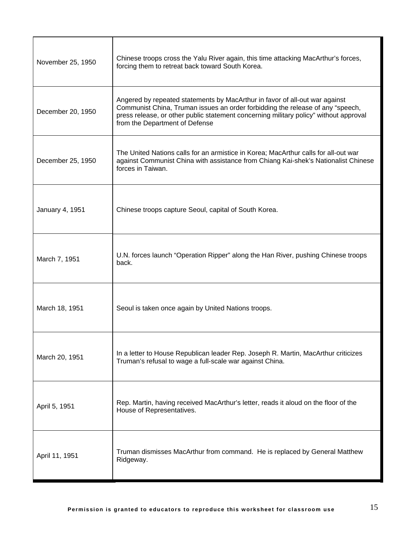| November 25, 1950 | Chinese troops cross the Yalu River again, this time attacking MacArthur's forces,<br>forcing them to retreat back toward South Korea.                                                                                                                                                   |
|-------------------|------------------------------------------------------------------------------------------------------------------------------------------------------------------------------------------------------------------------------------------------------------------------------------------|
| December 20, 1950 | Angered by repeated statements by MacArthur in favor of all-out war against<br>Communist China, Truman issues an order forbidding the release of any "speech,<br>press release, or other public statement concerning military policy" without approval<br>from the Department of Defense |
| December 25, 1950 | The United Nations calls for an armistice in Korea; MacArthur calls for all-out war<br>against Communist China with assistance from Chiang Kai-shek's Nationalist Chinese<br>forces in Taiwan.                                                                                           |
| January 4, 1951   | Chinese troops capture Seoul, capital of South Korea.                                                                                                                                                                                                                                    |
| March 7, 1951     | U.N. forces launch "Operation Ripper" along the Han River, pushing Chinese troops<br>back.                                                                                                                                                                                               |
| March 18, 1951    | Seoul is taken once again by United Nations troops.                                                                                                                                                                                                                                      |
| March 20, 1951    | In a letter to House Republican leader Rep. Joseph R. Martin, MacArthur criticizes<br>Truman's refusal to wage a full-scale war against China.                                                                                                                                           |
| April 5, 1951     | Rep. Martin, having received MacArthur's letter, reads it aloud on the floor of the<br>House of Representatives.                                                                                                                                                                         |
| April 11, 1951    | Truman dismisses MacArthur from command. He is replaced by General Matthew<br>Ridgeway.                                                                                                                                                                                                  |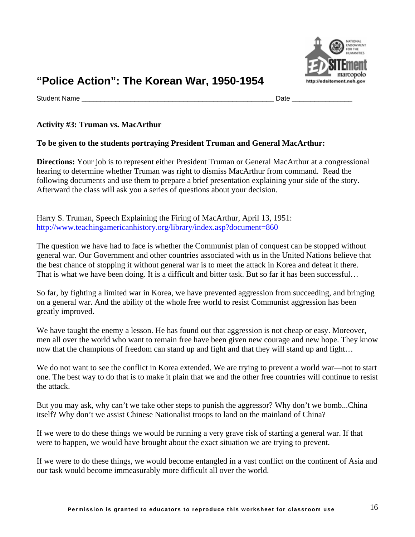

Student Name \_\_\_\_\_\_\_\_\_\_\_\_\_\_\_\_\_\_\_\_\_\_\_\_\_\_\_\_\_\_\_\_\_\_\_\_\_\_\_\_\_\_\_\_\_\_\_\_\_\_\_ Date \_\_\_\_\_\_\_\_\_\_\_\_\_\_\_\_

### **Activity #3: Truman vs. MacArthur**

#### **To be given to the students portraying President Truman and General MacArthur:**

**Directions:** Your job is to represent either President Truman or General MacArthur at a congressional hearing to determine whether Truman was right to dismiss MacArthur from command. Read the following documents and use them to prepare a brief presentation explaining your side of the story. Afterward the class will ask you a series of questions about your decision.

Harry S. Truman, Speech Explaining the Firing of MacArthur, April 13, 1951: <http://www.teachingamericanhistory.org/library/index.asp?document=860>

The question we have had to face is whether the Communist plan of conquest can be stopped without general war. Our Government and other countries associated with us in the United Nations believe that the best chance of stopping it without general war is to meet the attack in Korea and defeat it there. That is what we have been doing. It is a difficult and bitter task. But so far it has been successful…

So far, by fighting a limited war in Korea, we have prevented aggression from succeeding, and bringing on a general war. And the ability of the whole free world to resist Communist aggression has been greatly improved.

We have taught the enemy a lesson. He has found out that aggression is not cheap or easy. Moreover, men all over the world who want to remain free have been given new courage and new hope. They know now that the champions of freedom can stand up and fight and that they will stand up and fight…

We do not want to see the conflict in Korea extended. We are trying to prevent a world war—not to start one. The best way to do that is to make it plain that we and the other free countries will continue to resist the attack.

But you may ask, why can't we take other steps to punish the aggressor? Why don't we bomb...China itself? Why don't we assist Chinese Nationalist troops to land on the mainland of China?

If we were to do these things we would be running a very grave risk of starting a general war. If that were to happen, we would have brought about the exact situation we are trying to prevent.

If we were to do these things, we would become entangled in a vast conflict on the continent of Asia and our task would become immeasurably more difficult all over the world.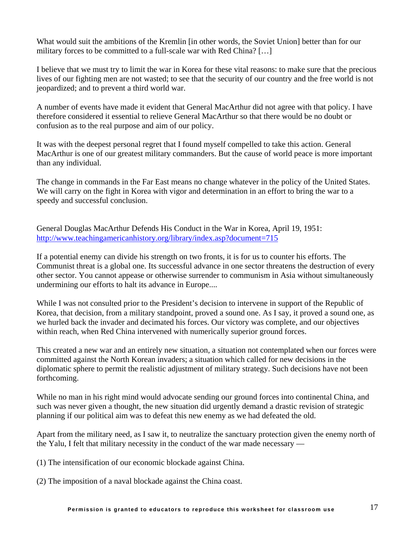What would suit the ambitions of the Kremlin [in other words, the Soviet Union] better than for our military forces to be committed to a full-scale war with Red China? […]

I believe that we must try to limit the war in Korea for these vital reasons: to make sure that the precious lives of our fighting men are not wasted; to see that the security of our country and the free world is not jeopardized; and to prevent a third world war.

A number of events have made it evident that General MacArthur did not agree with that policy. I have therefore considered it essential to relieve General MacArthur so that there would be no doubt or confusion as to the real purpose and aim of our policy.

It was with the deepest personal regret that I found myself compelled to take this action. General MacArthur is one of our greatest military commanders. But the cause of world peace is more important than any individual.

The change in commands in the Far East means no change whatever in the policy of the United States. We will carry on the fight in Korea with vigor and determination in an effort to bring the war to a speedy and successful conclusion.

General Douglas MacArthur Defends His Conduct in the War in Korea, April 19, 1951: <http://www.teachingamericanhistory.org/library/index.asp?document=715>

If a potential enemy can divide his strength on two fronts, it is for us to counter his efforts. The Communist threat is a global one. Its successful advance in one sector threatens the destruction of every other sector. You cannot appease or otherwise surrender to communism in Asia without simultaneously undermining our efforts to halt its advance in Europe....

While I was not consulted prior to the President's decision to intervene in support of the Republic of Korea, that decision, from a military standpoint, proved a sound one. As I say, it proved a sound one, as we hurled back the invader and decimated his forces. Our victory was complete, and our objectives within reach, when Red China intervened with numerically superior ground forces.

This created a new war and an entirely new situation, a situation not contemplated when our forces were committed against the North Korean invaders; a situation which called for new decisions in the diplomatic sphere to permit the realistic adjustment of military strategy. Such decisions have not been forthcoming.

While no man in his right mind would advocate sending our ground forces into continental China, and such was never given a thought, the new situation did urgently demand a drastic revision of strategic planning if our political aim was to defeat this new enemy as we had defeated the old.

Apart from the military need, as I saw it, to neutralize the sanctuary protection given the enemy north of the Yalu, I felt that military necessity in the conduct of the war made necessary —

- (1) The intensification of our economic blockade against China.
- (2) The imposition of a naval blockade against the China coast.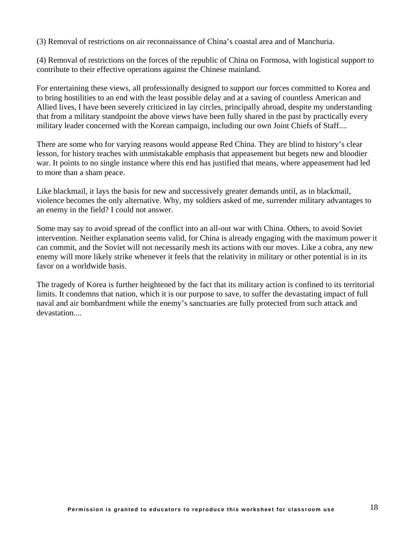(3) Removal of restrictions on air reconnaissance of China's coastal area and of Manchuria.

(4) Removal of restrictions on the forces of the republic of China on Formosa, with logistical support to contribute to their effective operations against the Chinese mainland.

For entertaining these views, all professionally designed to support our forces committed to Korea and to bring hostilities to an end with the least possible delay and at a saving of countless American and Allied lives, I have been severely criticized in lay circles, principally abroad, despite my understanding that from a military standpoint the above views have been fully shared in the past by practically every military leader concerned with the Korean campaign, including our own Joint Chiefs of Staff....

There are some who for varying reasons would appease Red China. They are blind to history's clear lesson, for history teaches with unmistakable emphasis that appeasement but begets new and bloodier war. It points to no single instance where this end has justified that means, where appeasement had led to more than a sham peace.

Like blackmail, it lays the basis for new and successively greater demands until, as in blackmail, violence becomes the only alternative. Why, my soldiers asked of me, surrender military advantages to an enemy in the field? I could not answer.

Some may say to avoid spread of the conflict into an all-out war with China. Others, to avoid Soviet intervention. Neither explanation seems valid, for China is already engaging with the maximum power it can commit, and the Soviet will not necessarily mesh its actions with our moves. Like a cobra, any new enemy will more likely strike whenever it feels that the relativity in military or other potential is in its favor on a worldwide basis.

The tragedy of Korea is further heightened by the fact that its military action is confined to its territorial limits. It condemns that nation, which it is our purpose to save, to suffer the devastating impact of full naval and air bombardment while the enemy's sanctuaries are fully protected from such attack and devastation....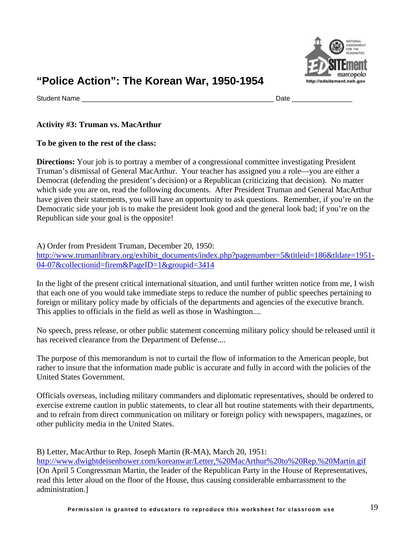

Student Name \_\_\_\_\_\_\_\_\_\_\_\_\_\_\_\_\_\_\_\_\_\_\_\_\_\_\_\_\_\_\_\_\_\_\_\_\_\_\_\_\_\_\_\_\_\_\_\_\_\_\_ Date \_\_\_\_\_\_\_\_\_\_\_\_\_\_\_\_

#### **Activity #3: Truman vs. MacArthur**

#### **To be given to the rest of the class:**

**Directions:** Your job is to portray a member of a congressional committee investigating President Truman's dismissal of General MacArthur. Your teacher has assigned you a role—you are either a Democrat (defending the president's decision) or a Republican (criticizing that decision). No matter which side you are on, read the following documents. After President Truman and General MacArthur have given their statements, you will have an opportunity to ask questions. Remember, if you're on the Democratic side your job is to make the president look good and the general look bad; if you're on the Republican side your goal is the opposite!

A) Order from President Truman, December 20, 1950:

[http://www.trumanlibrary.org/exhibit\\_documents/index.php?pagenumber=5&titleid=186&tldate=1951-](http://www.trumanlibrary.org/exhibit_documents/index.php?pagenumber=5&titleid=186&tldate=1951-04-07&collectionid=firem&PageID=1&groupid=3414) [04-07&collectionid=firem&PageID=1&groupid=3414](http://www.trumanlibrary.org/exhibit_documents/index.php?pagenumber=5&titleid=186&tldate=1951-04-07&collectionid=firem&PageID=1&groupid=3414)

In the light of the present critical international situation, and until further written notice from me, I wish that each one of you would take immediate steps to reduce the number of public speeches pertaining to foreign or military policy made by officials of the departments and agencies of the executive branch. This applies to officials in the field as well as those in Washington....

No speech, press release, or other public statement concerning military policy should be released until it has received clearance from the Department of Defense....

The purpose of this memorandum is not to curtail the flow of information to the American people, but rather to insure that the information made public is accurate and fully in accord with the policies of the United States Government.

Officials overseas, including military commanders and diplomatic representatives, should be ordered to exercise extreme caution in public statements, to clear all but routine statements with their departments, and to refrain from direct communication on military or foreign policy with newspapers, magazines, or other publicity media in the United States.

B) Letter, MacArthur to Rep. Joseph Martin (R-MA), March 20, 1951:

<http://www.dwightdeisenhower.com/koreanwar/Letter,%20MacArthur%20to%20Rep.%20Martin.gif> [On April 5 Congressman Martin, the leader of the Republican Party in the House of Representatives, read this letter aloud on the floor of the House, thus causing considerable embarrassment to the administration.]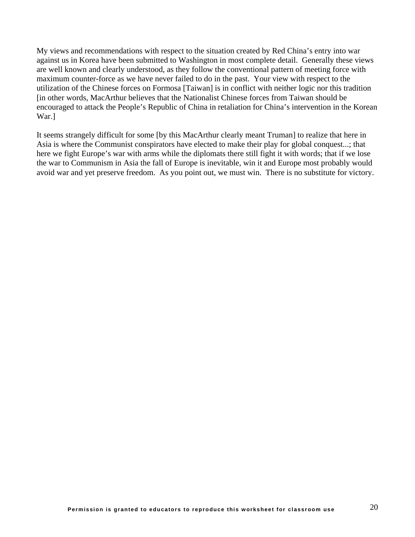My views and recommendations with respect to the situation created by Red China's entry into war against us in Korea have been submitted to Washington in most complete detail. Generally these views are well known and clearly understood, as they follow the conventional pattern of meeting force with maximum counter-force as we have never failed to do in the past. Your view with respect to the utilization of the Chinese forces on Formosa [Taiwan] is in conflict with neither logic nor this tradition [in other words, MacArthur believes that the Nationalist Chinese forces from Taiwan should be encouraged to attack the People's Republic of China in retaliation for China's intervention in the Korean War.]

It seems strangely difficult for some [by this MacArthur clearly meant Truman] to realize that here in Asia is where the Communist conspirators have elected to make their play for global conquest...; that here we fight Europe's war with arms while the diplomats there still fight it with words; that if we lose the war to Communism in Asia the fall of Europe is inevitable, win it and Europe most probably would avoid war and yet preserve freedom. As you point out, we must win. There is no substitute for victory.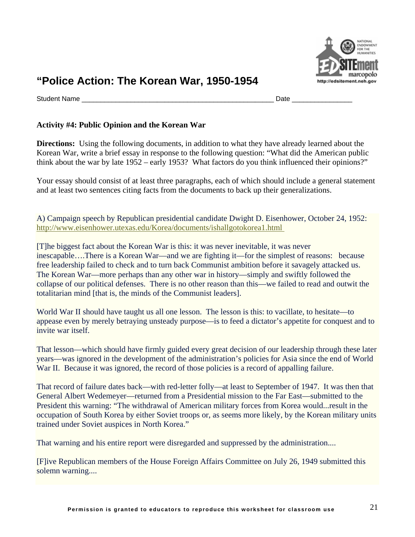

Student Name \_\_\_\_\_\_\_\_\_\_\_\_\_\_\_\_\_\_\_\_\_\_\_\_\_\_\_\_\_\_\_\_\_\_\_\_\_\_\_\_\_\_\_\_\_\_\_\_\_\_\_ Date \_\_\_\_\_\_\_\_\_\_\_\_\_\_\_\_

### **Activity #4: Public Opinion and the Korean War**

**Directions:** Using the following documents, in addition to what they have already learned about the Korean War, write a brief essay in response to the following question: "What did the American public think about the war by late 1952 – early 1953? What factors do you think influenced their opinions?"

Your essay should consist of at least three paragraphs, each of which should include a general statement and at least two sentences citing facts from the documents to back up their generalizations.

A) Campaign speech by Republican presidential candidate Dwight D. Eisenhower, October 24, 1952: <http://www.eisenhower.utexas.edu/Korea/documents/ishallgotokorea1.html>

[T]he biggest fact about the Korean War is this: it was never inevitable, it was never inescapable….There is a Korean War—and we are fighting it—for the simplest of reasons: because free leadership failed to check and to turn back Communist ambition before it savagely attacked us. The Korean War—more perhaps than any other war in history—simply and swiftly followed the collapse of our political defenses. There is no other reason than this—we failed to read and outwit the totalitarian mind [that is, the minds of the Communist leaders].

World War II should have taught us all one lesson. The lesson is this: to vacillate, to hesitate—to appease even by merely betraying unsteady purpose—is to feed a dictator's appetite for conquest and to invite war itself.

That lesson—which should have firmly guided every great decision of our leadership through these later years—was ignored in the development of the administration's policies for Asia since the end of World War II. Because it was ignored, the record of those policies is a record of appalling failure.

That record of failure dates back—with red-letter folly—at least to September of 1947. It was then that General Albert Wedemeyer—returned from a Presidential mission to the Far East—submitted to the President this warning: "The withdrawal of American military forces from Korea would...result in the occupation of South Korea by either Soviet troops or, as seems more likely, by the Korean military units trained under Soviet auspices in North Korea."

That warning and his entire report were disregarded and suppressed by the administration....

[F]ive Republican members of the House Foreign Affairs Committee on July 26, 1949 submitted this solemn warning....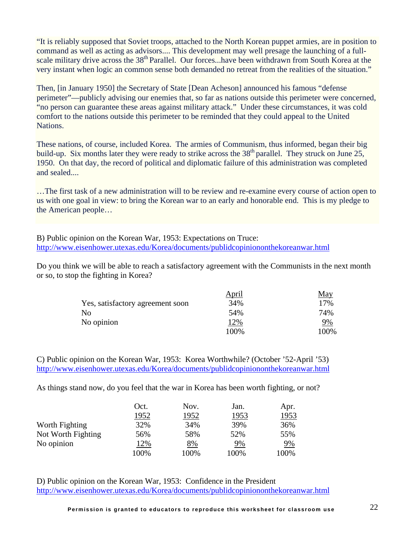"It is reliably supposed that Soviet troops, attached to the North Korean puppet armies, are in position to command as well as acting as advisors.... This development may well presage the launching of a fullscale military drive across the 38<sup>th</sup> Parallel. Our forces...have been withdrawn from South Korea at the very instant when logic an common sense both demanded no retreat from the realities of the situation."

Then, [in January 1950] the Secretary of State [Dean Acheson] announced his famous "defense perimeter"—publicly advising our enemies that, so far as nations outside this perimeter were concerned, "no person can guarantee these areas against military attack." Under these circumstances, it was cold comfort to the nations outside this perimeter to be reminded that they could appeal to the United Nations.

These nations, of course, included Korea. The armies of Communism, thus informed, began their big build-up. Six months later they were ready to strike across the  $38<sup>th</sup>$  parallel. They struck on June 25, 1950. On that day, the record of political and diplomatic failure of this administration was completed and sealed....

…The first task of a new administration will to be review and re-examine every course of action open to us with one goal in view: to bring the Korean war to an early and honorable end. This is my pledge to the American people…

B) Public opinion on the Korean War, 1953: Expectations on Truce: <http://www.eisenhower.utexas.edu/Korea/documents/publidcopiniononthekoreanwar.html>

Do you think we will be able to reach a satisfactory agreement with the Communists in the next month or so, to stop the fighting in Korea?

|                                  | <b>April</b> | <u>May</u> |
|----------------------------------|--------------|------------|
| Yes, satisfactory agreement soon | 34%          | 17%        |
| N <sub>0</sub>                   | 54%          | 74%        |
| No opinion                       | 12%          | 9%         |
|                                  | 100%         | 100%       |

C) Public opinion on the Korean War, 1953: Korea Worthwhile? (October '52-April '53) <http://www.eisenhower.utexas.edu/Korea/documents/publidcopiniononthekoreanwar.html>

As things stand now, do you feel that the war in Korea has been worth fighting, or not?

|                    | Oct. | Nov. | Jan.  | Apr.          |
|--------------------|------|------|-------|---------------|
|                    | 1952 | 1952 | 1953  | <u> 1953 </u> |
| Worth Fighting     | 32%  | 34%  | 39%   | 36%           |
| Not Worth Fighting | 56%  | 58%  | 52%   | 55%           |
| No opinion         | 12%  | 8%   | $9\%$ | $9\%$         |
|                    | 100% | 100% | 100%  | 100%          |

D) Public opinion on the Korean War, 1953: Confidence in the President <http://www.eisenhower.utexas.edu/Korea/documents/publidcopiniononthekoreanwar.html>